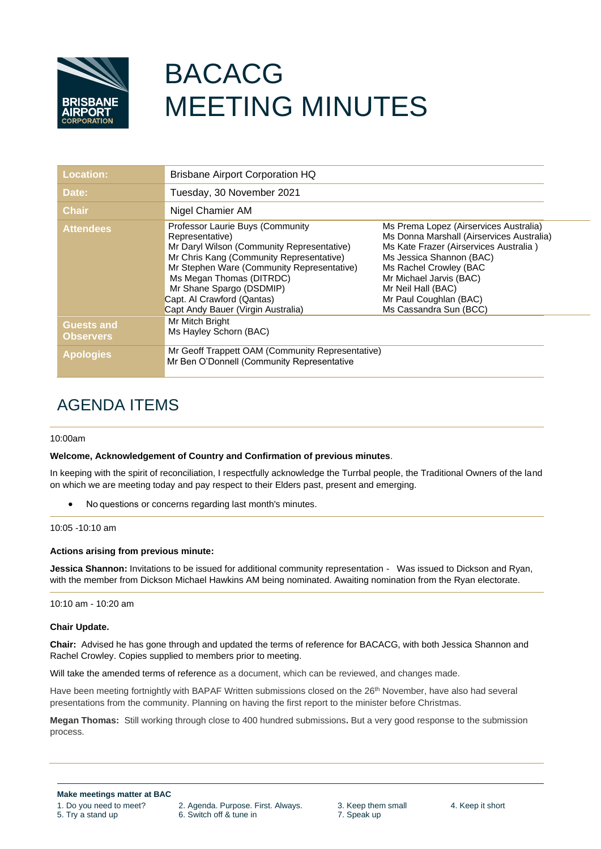

# BACACG MEETING MINUTES

| <b>Location:</b>                      | <b>Brisbane Airport Corporation HQ</b>                                                                                                                                                                                                                                                                                  |                                                                                                                                                                                                                                                                                          |
|---------------------------------------|-------------------------------------------------------------------------------------------------------------------------------------------------------------------------------------------------------------------------------------------------------------------------------------------------------------------------|------------------------------------------------------------------------------------------------------------------------------------------------------------------------------------------------------------------------------------------------------------------------------------------|
| Date:                                 | Tuesday, 30 November 2021                                                                                                                                                                                                                                                                                               |                                                                                                                                                                                                                                                                                          |
| <b>Chair</b>                          | Nigel Chamier AM                                                                                                                                                                                                                                                                                                        |                                                                                                                                                                                                                                                                                          |
| <b>Attendees</b>                      | Professor Laurie Buys (Community<br>Representative)<br>Mr Daryl Wilson (Community Representative)<br>Mr Chris Kang (Community Representative)<br>Mr Stephen Ware (Community Representative)<br>Ms Megan Thomas (DITRDC)<br>Mr Shane Spargo (DSDMIP)<br>Capt. Al Crawford (Qantas)<br>Capt Andy Bauer (Virgin Australia) | Ms Prema Lopez (Airservices Australia)<br>Ms Donna Marshall (Airservices Australia)<br>Ms Kate Frazer (Airservices Australia)<br>Ms Jessica Shannon (BAC)<br>Ms Rachel Crowley (BAC<br>Mr Michael Jarvis (BAC)<br>Mr Neil Hall (BAC)<br>Mr Paul Coughlan (BAC)<br>Ms Cassandra Sun (BCC) |
| <b>Guests and</b><br><b>Observers</b> | Mr Mitch Bright<br>Ms Hayley Schorn (BAC)                                                                                                                                                                                                                                                                               |                                                                                                                                                                                                                                                                                          |
| <b>Apologies</b>                      | Mr Geoff Trappett OAM (Community Representative)<br>Mr Ben O'Donnell (Community Representative                                                                                                                                                                                                                          |                                                                                                                                                                                                                                                                                          |

# AGENDA ITEMS

# 10:00am

# **Welcome, Acknowledgement of Country and Confirmation of previous minutes**.

In keeping with the spirit of reconciliation, I respectfully acknowledge the Turrbal people, the Traditional Owners of the land on which we are meeting today and pay respect to their Elders past, present and emerging.

• No questions or concerns regarding last month's minutes.

10:05 -10:10 am

# **Actions arising from previous minute:**

**Jessica Shannon:** Invitations to be issued for additional community representation - Was issued to Dickson and Ryan, with the member from Dickson Michael Hawkins AM being nominated. Awaiting nomination from the Ryan electorate.

10:10 am - 10:20 am

# **Chair Update.**

**Chair:** Advised he has gone through and updated the terms of reference for BACACG, with both Jessica Shannon and Rachel Crowley. Copies supplied to members prior to meeting.

Will take the amended terms of reference as a document, which can be reviewed, and changes made.

Have been meeting fortnightly with BAPAF Written submissions closed on the 26<sup>th</sup> November, have also had several presentations from the community. Planning on having the first report to the minister before Christmas.

**Megan Thomas:** Still working through close to 400 hundred submissions**.** But a very good response to the submission process.

1. Do you need to meet? 2. Agenda. Purpose. First. Always. 3. Keep them small 4. Keep it short<br>5. Try a stand up 6. Switch off & tune in 7. Speak up 6. Switch off & tune in 7. Speak up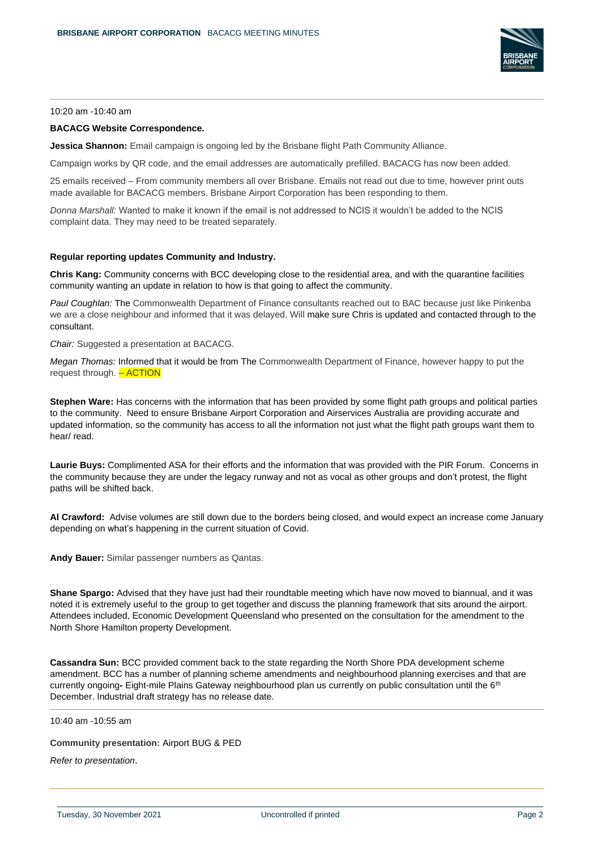

### 10:20 am -10:40 am

# **BACACG Website Correspondence.**

**Jessica Shannon:** Email campaign is ongoing led by the Brisbane flight Path Community Alliance.

Campaign works by QR code, and the email addresses are automatically prefilled. BACACG has now been added.

25 emails received – From community members all over Brisbane. Emails not read out due to time, however print outs made available for BACACG members. Brisbane Airport Corporation has been responding to them.

*Donna Marshall:* Wanted to make it known if the email is not addressed to NCIS it wouldn't be added to the NCIS complaint data. They may need to be treated separately.

### **Regular reporting updates Community and Industry.**

**Chris Kang:** Community concerns with BCC developing close to the residential area, and with the quarantine facilities community wanting an update in relation to how is that going to affect the community.

*Paul Coughlan:* The Commonwealth Department of Finance consultants reached out to BAC because just like Pinkenba we are a close neighbour and informed that it was delayed. Will make sure Chris is updated and contacted through to the consultant.

*Chair:* Suggested a presentation at BACACG.

*Megan Thomas:* Informed that it would be from The Commonwealth Department of Finance, however happy to put the request through. - ACTION

**Stephen Ware:** Has concerns with the information that has been provided by some flight path groups and political parties to the community. Need to ensure Brisbane Airport Corporation and Airservices Australia are providing accurate and updated information, so the community has access to all the information not just what the flight path groups want them to hear/ read.

**Laurie Buys:** Complimented ASA for their efforts and the information that was provided with the PIR Forum.Concerns in the community because they are under the legacy runway and not as vocal as other groups and don't protest, the flight paths will be shifted back.

**Al Crawford:** Advise volumes are still down due to the borders being closed, and would expect an increase come January depending on what's happening in the current situation of Covid.

**Andy Bauer:** Similar passenger numbers as Qantas.

**Shane Spargo:** Advised that they have just had their roundtable meeting which have now moved to biannual, and it was noted it is extremely useful to the group to get together and discuss the planning framework that sits around the airport. Attendees included, Economic Development Queensland who presented on the consultation for the amendment to the North Shore Hamilton property Development.

**Cassandra Sun:** BCC provided comment back to the state regarding the North Shore PDA development scheme amendment. BCC has a number of planning scheme amendments and neighbourhood planning exercises and that are currently ongoing**-** Eight-mile Plains Gateway neighbourhood plan us currently on public consultation until the 6th December. Industrial draft strategy has no release date.

10:40 am -10:55 am

**Community presentation:** Airport BUG & PED

*Refer to presentation*.